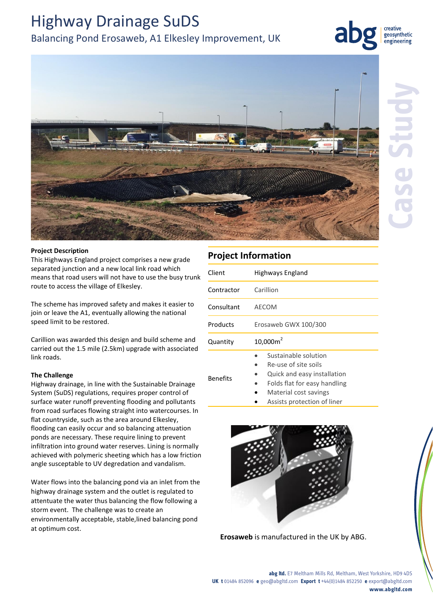# Highway Drainage SuDS

# Balancing Pond Erosaweb, A1 Elkesley Improvement, UK



creative geosynthetic engineering



### **Project Description**

This Highways England project comprises a new grade separated junction and a new local link road which means that road users will not have to use the busy trunk route to access the village of Elkesley.

The scheme has improved safety and makes it easier to join or leave the A1, eventually allowing the national speed limit to be restored.

Carillion was awarded this design and build scheme and carried out the 1.5 mile (2.5km) upgrade with associated link roads.

## **The Challenge**

Highway drainage, in line with the Sustainable Drainage System (SuDS) regulations, requires proper control of surface water runoff preventing flooding and pollutants from road surfaces flowing straight into watercourses. In flat countryside, such as the area around Elkesley, flooding can easily occur and so balancing attenuation ponds are necessary. These require lining to prevent infiltration into ground water reserves. Lining is normally achieved with polymeric sheeting which has a low friction angle susceptable to UV degredation and vandalism.

Water flows into the balancing pond via an inlet from the highway drainage system and the outlet is regulated to attentuate the water thus balancing the flow following a storm event. The challenge was to create an environmentally acceptable, stable,lined balancing pond at optimum cost.

# **Project Information**

| Client          | Highways England                                                                                            |
|-----------------|-------------------------------------------------------------------------------------------------------------|
| Contractor      | Carillion                                                                                                   |
| Consultant      | <b>AECOM</b>                                                                                                |
| Products        | Erosaweb GWX 100/300                                                                                        |
| Quantity        | $10,000m^2$                                                                                                 |
| <b>Benefits</b> | Sustainable solution<br>Re-use of site soils<br>Quick and easy installation<br>Folds flat for easy handling |

- 
- Material cost savings
- Assists protection of liner



**Erosaweb** is manufactured in the UK by ABG.